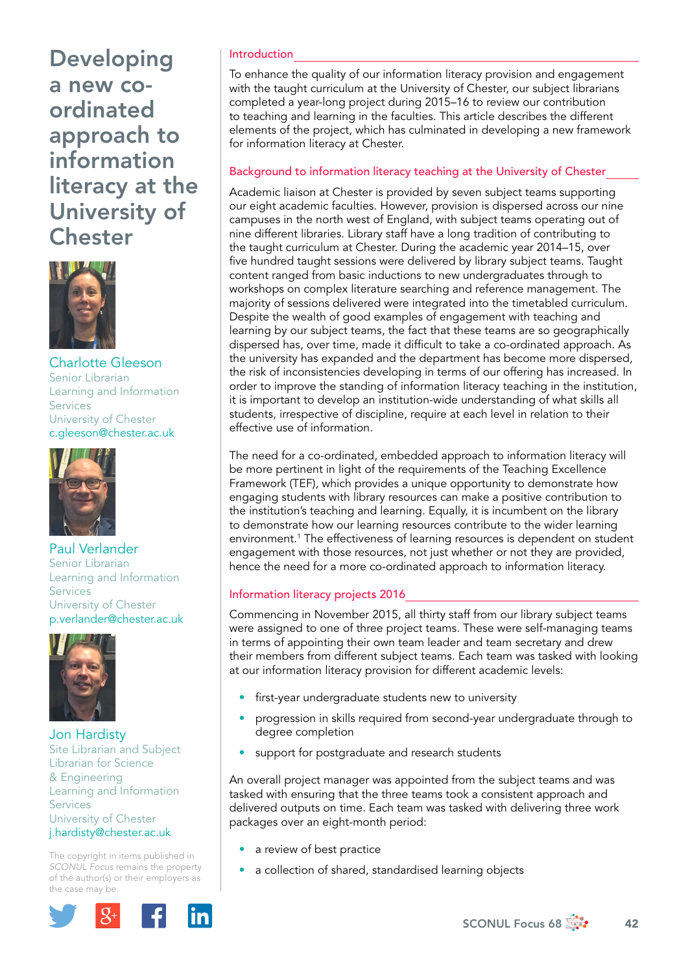

Charlotte Gleeson Senior Librarian Learning and Information Services University of Chester [c.gleeson@chester.ac.uk](mailto:c.gleeson@chester.ac.uk)



Paul Verlander Senior Librarian Learning and Information Services University of Chester [p.verlander@chester.ac.uk](mailto:p.verlander@chester.ac.uk)



Jon Hardisty Site Librarian and Subject Librarian for Science & Engineering Learning and Information Services University of Chester [j.hardisty@chester.ac.uk](mailto:j.hardisty@chester.ac.uk)

The copyright in items published in *SCONUL Focus* remains the property of the author(s) or their employers as the case may be.



# Introduction

To enhance the quality of our information literacy provision and engagement with the taught curriculum at the University of Chester, our subject librarians completed a year-long project during 2015–16 to review our contribution to teaching and learning in the faculties. This article describes the different elements of the project, which has culminated in developing a new framework for information literacy at Chester.

# Background to information literacy teaching at the University of Chester

Academic liaison at Chester is provided by seven subject teams supporting our eight academic faculties. However, provision is dispersed across our nine campuses in the north west of England, with subject teams operating out of nine different libraries. Library staff have a long tradition of contributing to the taught curriculum at Chester. During the academic year 2014–15, over five hundred taught sessions were delivered by library subject teams. Taught content ranged from basic inductions to new undergraduates through to workshops on complex literature searching and reference management. The majority of sessions delivered were integrated into the timetabled curriculum. Despite the wealth of good examples of engagement with teaching and learning by our subject teams, the fact that these teams are so geographically dispersed has, over time, made it difficult to take a co-ordinated approach. As the university has expanded and the department has become more dispersed, the risk of inconsistencies developing in terms of our offering has increased. In order to improve the standing of information literacy teaching in the institution, it is important to develop an institution-wide understanding of what skills all students, irrespective of discipline, require at each level in relation to their effective use of information.

The need for a co-ordinated, embedded approach to information literacy will be more pertinent in light of the requirements of the Teaching Excellence Framework (TEF), which provides a unique opportunity to demonstrate how engaging students with library resources can make a positive contribution to the institution's teaching and learning. Equally, it is incumbent on the library to demonstrate how our learning resources contribute to the wider learning environment.1 The effectiveness of learning resources is dependent on student engagement with those resources, not just whether or not they are provided, hence the need for a more co-ordinated approach to information literacy.

# Information literacy projects 2016

Commencing in November 2015, all thirty staff from our library subject teams were assigned to one of three project teams. These were self-managing teams in terms of appointing their own team leader and team secretary and drew their members from different subject teams. Each team was tasked with looking at our information literacy provision for different academic levels:

- first-year undergraduate students new to university
- progression in skills required from second-year undergraduate through to degree completion
- support for postgraduate and research students

An overall project manager was appointed from the subject teams and was tasked with ensuring that the three teams took a consistent approach and delivered outputs on time. Each team was tasked with delivering three work packages over an eight-month period:

- a review of best practice
- a collection of shared, standardised learning objects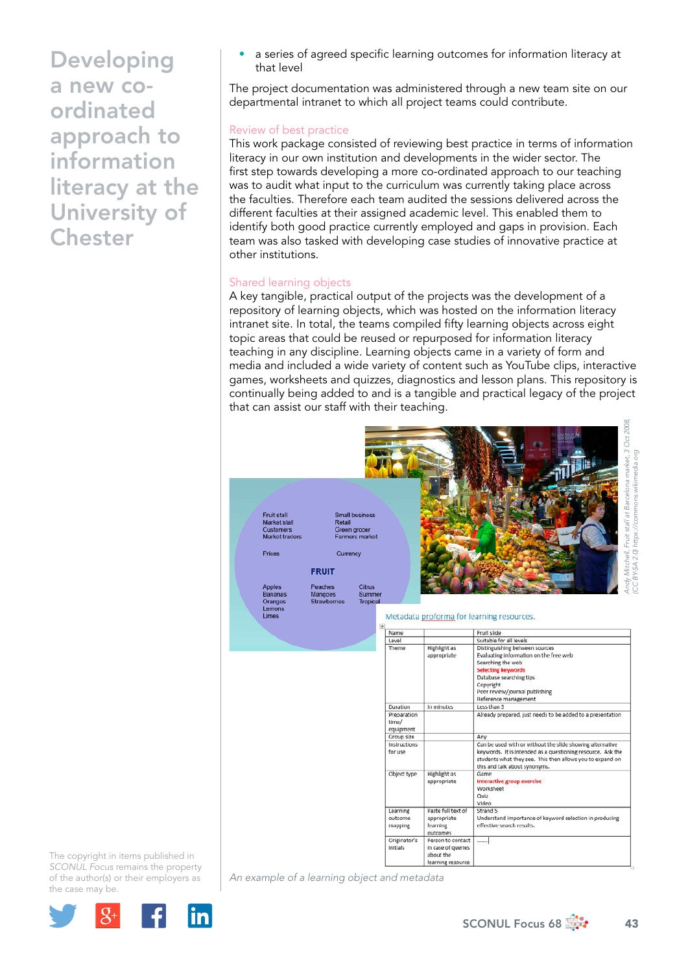a series of agreed specific learning outcomes for information literacy at that level

The project documentation was administered through a new team site on our departmental intranet to which all project teams could contribute.

### Review of best practice

This work package consisted of reviewing best practice in terms of information literacy in our own institution and developments in the wider sector. The first step towards developing a more co-ordinated approach to our teaching was to audit what input to the curriculum was currently taking place across the faculties. Therefore each team audited the sessions delivered across the different faculties at their assigned academic level. This enabled them to identify both good practice currently employed and gaps in provision. Each team was also tasked with developing case studies of innovative practice at other institutions.

#### Shared learning objects

A key tangible, practical output of the projects was the development of a repository of learning objects, which was hosted on the information literacy intranet site. In total, the teams compiled fifty learning objects across eight topic areas that could be reused or repurposed for information literacy teaching in any discipline. Learning objects came in a variety of form and media and included a wide variety of content such as YouTube clips, interactive games, worksheets and quizzes, diagnostics and lesson plans. This repository is continually being added to and is a tangible and practical legacy of the project that can assist our staff with their teaching.



**Highlight** as appropriate

In minute:

Highlight as

appropriate

Dasta full tayt of

Person to contact<br>in case of queries about the learning reso

appropriate<br>learning

outcon

Level

Tham

Duration

Preparation time/ equipment

Instructions for use

Object type

Learning<br>outcome

mapping

Originato

Suitable for all levels

Searching the web **Selecting keyword Selecting Reynolds**<br>Database searching tips<br>Copyright<br>Peer review/journal publishing Reference management Less than 5

Distinguishing between sources<br>Evaluating information on the free web

this and talk about synonyms.

Interactive group exercise Worksheet Quiz Video

Game

Strand 5

effective s

Already prepared, just needs to be added to a presentation

Can be used with or without the slide showing alternative

keywords. It is intended as a questioning resource. Ask the students what they see. This then allows you to expand on

Understand importance of keyword selection in producing

BY-SA 2.0) https://commons.wikimedia.org *(CC BY-SA 2.0) <https://commons.wikimedia.org>*

The copyright in items published in *SCONUL Focus* remains the property of the author(s) or their employers as the case may be.



*An example of a learning object and metadata*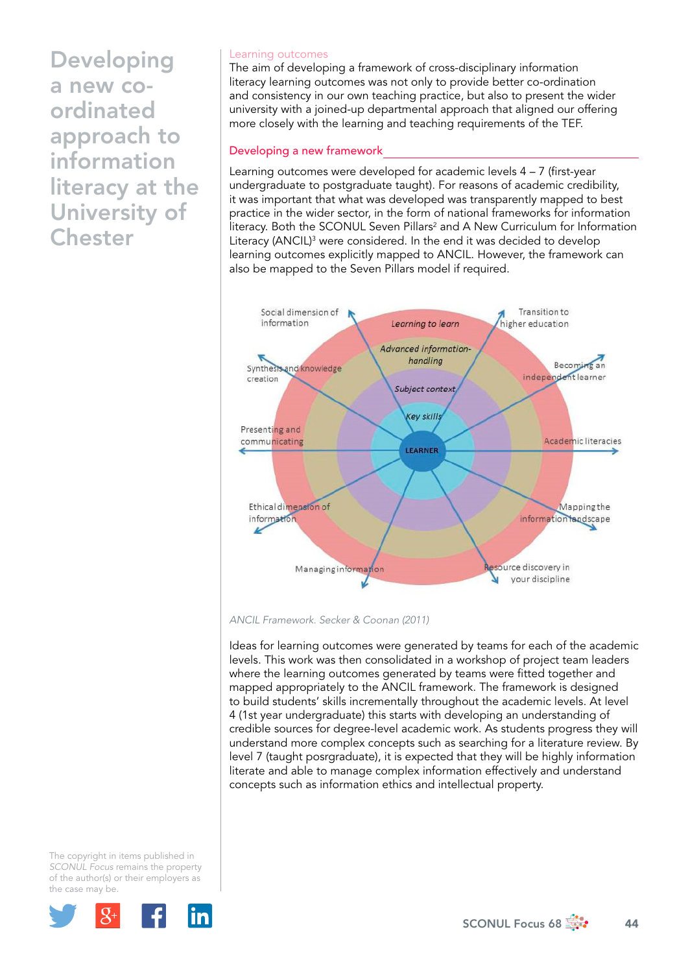#### Learning outcomes

The aim of developing a framework of cross-disciplinary information literacy learning outcomes was not only to provide better co-ordination and consistency in our own teaching practice, but also to present the wider university with a joined-up departmental approach that aligned our offering more closely with the learning and teaching requirements of the TEF.

# Developing a new framework

Learning outcomes were developed for academic levels 4 – 7 (first-year undergraduate to postgraduate taught). For reasons of academic credibility, it was important that what was developed was transparently mapped to best practice in the wider sector, in the form of national frameworks for information literacy. Both the SCONUL Seven Pillars<sup>2</sup> and A New Curriculum for Information Literacy (ANCIL)<sup>3</sup> were considered. In the end it was decided to develop learning outcomes explicitly mapped to ANCIL. However, the framework can also be mapped to the Seven Pillars model if required.



*ANCIL Framework. Secker & Coonan (2011)* 

Ideas for learning outcomes were generated by teams for each of the academic levels. This work was then consolidated in a workshop of project team leaders where the learning outcomes generated by teams were fitted together and mapped appropriately to the ANCIL framework. The framework is designed to build students' skills incrementally throughout the academic levels. At level 4 (1st year undergraduate) this starts with developing an understanding of credible sources for degree-level academic work. As students progress they will understand more complex concepts such as searching for a literature review. By level 7 (taught posrgraduate), it is expected that they will be highly information literate and able to manage complex information effectively and understand concepts such as information ethics and intellectual property.

The copyright in items published in *SCONUL Focus* remains the property of the author(s) or their employers as the case may be.

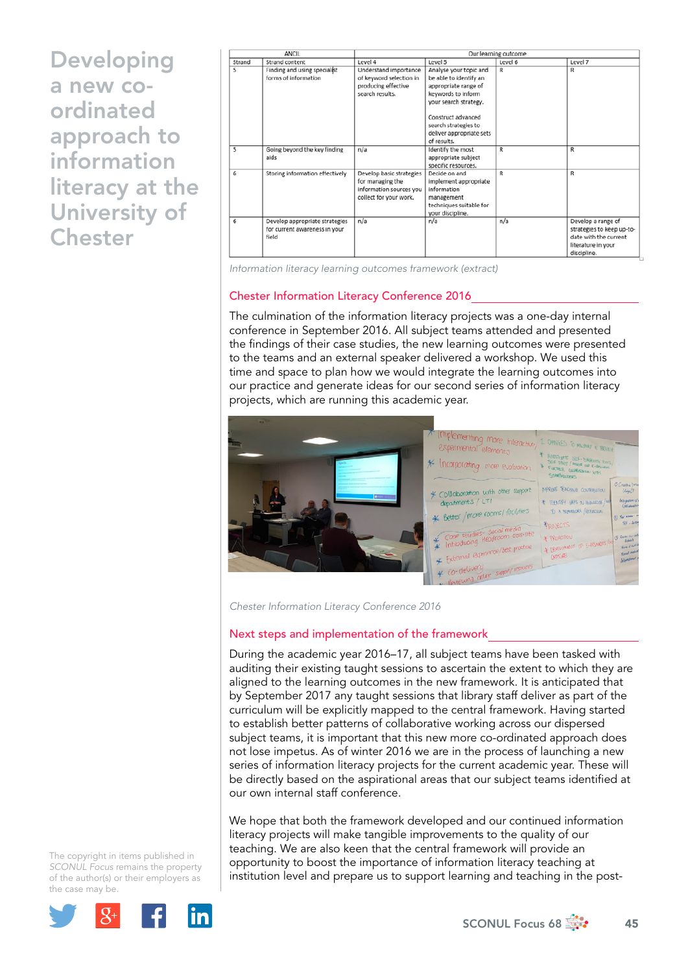| <b>ANCIL</b> |                                                                          | Our learning outcome                                                                              |                                                                                                                                                                                                                  |         |                                                                                                               |
|--------------|--------------------------------------------------------------------------|---------------------------------------------------------------------------------------------------|------------------------------------------------------------------------------------------------------------------------------------------------------------------------------------------------------------------|---------|---------------------------------------------------------------------------------------------------------------|
| Strand       | Strand content                                                           | Level 4                                                                                           | Level 5                                                                                                                                                                                                          | Level 6 | Level 7                                                                                                       |
| 5            | Finding and using specialist<br>forms of information                     | Understand importance<br>of keyword selection in<br>producing effective<br>search results.        | Analyse your topic and<br>be able to identify an<br>appropriate range of<br>keywords to inform<br>your search strategy.<br>Construct advanced<br>search strategies to<br>deliver appropriate sets<br>of results. | R       | R                                                                                                             |
| 5            | Going beyond the key finding<br>aids                                     | n/a                                                                                               | Identify the most<br>appropriate subject<br>specific resources.                                                                                                                                                  | R       | R                                                                                                             |
| 6            | Storing information effectively                                          | Develop basic strategies<br>for managing the<br>information sources you<br>collect for your work. | Decide on and<br>implement appropriate<br>information<br>management<br>techniques suitable for<br>your discipline.                                                                                               | R       | R                                                                                                             |
| 6            | Develop appropriate strategies<br>for current awareness in your<br>field | n/a                                                                                               | n/a                                                                                                                                                                                                              | n/a     | Develop a range of<br>strategies to keep up-to-<br>date with the current<br>literature in your<br>discipline. |

*Information literacy learning outcomes framework (extract)*

### Chester Information Literacy Conference 2016

The culmination of the information literacy projects was a one-day internal conference in September 2016. All subject teams attended and presented the findings of their case studies, the new learning outcomes were presented to the teams and an external speaker delivered a workshop. We used this time and space to plan how we would integrate the learning outcomes into our practice and generate ideas for our second series of information literacy projects, which are running this academic year.



*Chester Information Literacy Conference 2016* 

#### Next steps and implementation of the framework

During the academic year 2016–17, all subject teams have been tasked with auditing their existing taught sessions to ascertain the extent to which they are aligned to the learning outcomes in the new framework. It is anticipated that by September 2017 any taught sessions that library staff deliver as part of the curriculum will be explicitly mapped to the central framework. Having started to establish better patterns of collaborative working across our dispersed subject teams, it is important that this new more co-ordinated approach does not lose impetus. As of winter 2016 we are in the process of launching a new series of information literacy projects for the current academic year. These will be directly based on the aspirational areas that our subject teams identified at our own internal staff conference.

We hope that both the framework developed and our continued information literacy projects will make tangible improvements to the quality of our teaching. We are also keen that the central framework will provide an opportunity to boost the importance of information literacy teaching at institution level and prepare us to support learning and teaching in the post-

The copyright in items published in *SCONUL Focus* remains the property of the author(s) or their employers as the case may be.



SCONUL Focus 68  $\frac{1}{200}$  45